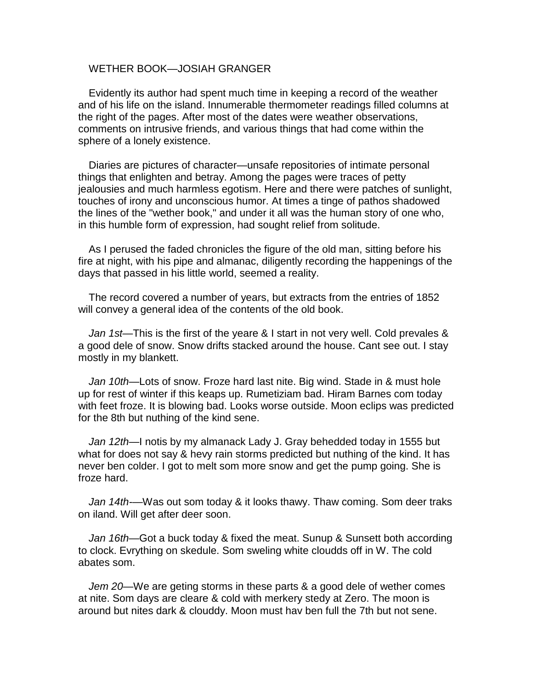## WETHER BOOK—JOSIAH GRANGER

Evidently its author had spent much time in keeping a record of the weather and of his life on the island. Innumerable thermometer readings filled columns at the right of the pages. After most of the dates were weather observations, comments on intrusive friends, and various things that had come within the sphere of a lonely existence.

Diaries are pictures of character—unsafe repositories of intimate personal things that enlighten and betray. Among the pages were traces of petty jealousies and much harmless egotism. Here and there were patches of sunlight, touches of irony and unconscious humor. At times a tinge of pathos shadowed the lines of the "wether book," and under it all was the human story of one who, in this humble form of expression, had sought relief from solitude.

As I perused the faded chronicles the figure of the old man, sitting before his fire at night, with his pipe and almanac, diligently recording the happenings of the days that passed in his little world, seemed a reality.

The record covered a number of years, but extracts from the entries of 1852 will convey a general idea of the contents of the old book.

*Jan 1st*—This is the first of the yeare & I start in not very well. Cold prevales & a good dele of snow. Snow drifts stacked around the house. Cant see out. I stay mostly in my blankett.

*Jan 10th*—Lots of snow. Froze hard last nite. Big wind. Stade in & must hole up for rest of winter if this keaps up. Rumetiziam bad. Hiram Barnes com today with feet froze. It is blowing bad. Looks worse outside. Moon eclips was predicted for the 8th but nuthing of the kind sene.

*Jan 12th*—I notis by my almanack Lady J. Gray behedded today in 1555 but what for does not say & hevy rain storms predicted but nuthing of the kind. It has never ben colder. I got to melt som more snow and get the pump going. She is froze hard.

*Jan 14th-*—Was out som today & it looks thawy. Thaw coming. Som deer traks on iland. Will get after deer soon.

*Jan 16th*—Got a buck today & fixed the meat. Sunup & Sunsett both according to clock. Evry thing on skedule. Som sweling white cloudds off in W. The cold abates som.

*Jem 20*—We are geting storms in these parts & a good dele of wether comes at nite. Som days are cleare & cold with merkery stedy at Zero. The moon is around but nites dark & clouddy. Moon must hav ben full the 7th but not sene.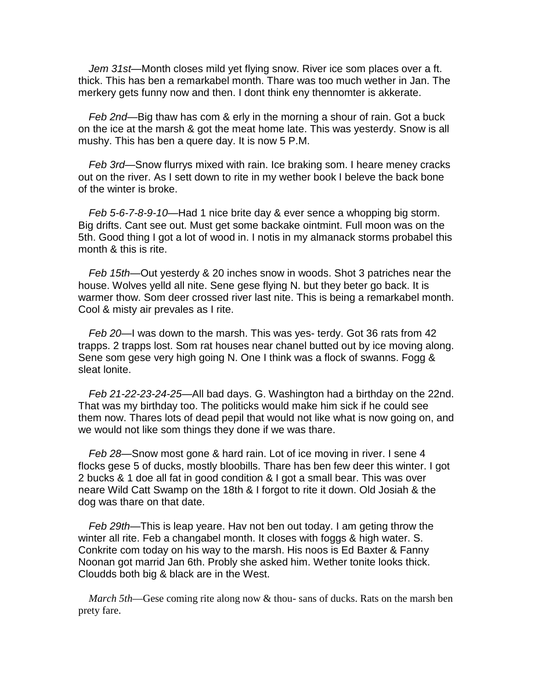*Jem 31st*—Month closes mild yet flying snow. River ice som places over a ft. thick. This has ben a remarkabel month. Thare was too much wether in Jan. The merkery gets funny now and then. I dont think eny thennomter is akkerate.

*Feb 2nd*—Big thaw has com & erly in the morning a shour of rain. Got a buck on the ice at the marsh & got the meat home late. This was yesterdy. Snow is all mushy. This has ben a quere day. It is now 5 P.M.

*Feb 3rd*—Snow flurrys mixed with rain. Ice braking som. I heare meney cracks out on the river. As I sett down to rite in my wether book I beleve the back bone of the winter is broke.

*Feb 5-6-7-8-9-10*—Had 1 nice brite day & ever sence a whopping big storm. Big drifts. Cant see out. Must get some backake ointmint. Full moon was on the 5th. Good thing I got a lot of wood in. I notis in my almanack storms probabel this month & this is rite.

*Feb 15th*—Out yesterdy & 20 inches snow in woods. Shot 3 patriches near the house. Wolves yelld all nite. Sene gese flying N. but they beter go back. It is warmer thow. Som deer crossed river last nite. This is being a remarkabel month. Cool & misty air prevales as I rite.

*Feb 20*—I was down to the marsh. This was yes- terdy. Got 36 rats from 42 trapps. 2 trapps lost. Som rat houses near chanel butted out by ice moving along. Sene som gese very high going N. One I think was a flock of swanns. Fogg & sleat lonite.

*Feb 21-22-23-24-25—*All bad days. G. Washington had a birthday on the 22nd. That was my birthday too. The politicks would make him sick if he could see them now. Thares lots of dead pepil that would not like what is now going on, and we would not like som things they done if we was thare.

*Feb 28*—Snow most gone & hard rain. Lot of ice moving in river. I sene 4 flocks gese 5 of ducks, mostly bloobills. Thare has ben few deer this winter. I got 2 bucks & 1 doe all fat in good condition & I got a small bear. This was over neare Wild Catt Swamp on the 18th & I forgot to rite it down. Old Josiah & the dog was thare on that date.

*Feb 29th*—This is leap yeare. Hav not ben out today. I am geting throw the winter all rite. Feb a changabel month. It closes with foggs & high water. S. Conkrite com today on his way to the marsh. His noos is Ed Baxter & Fanny Noonan got marrid Jan 6th. Probly she asked him. Wether tonite looks thick. Cloudds both big & black are in the West.

*March 5th—Gese coming rite along now & thou- sans of ducks. Rats on the marsh ben* prety fare.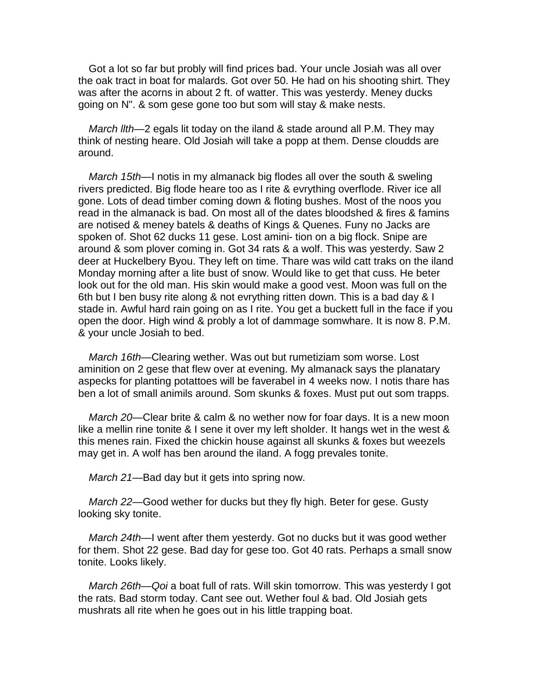Got a lot so far but probly will find prices bad. Your uncle Josiah was all over the oak tract in boat for malards. Got over 50. He had on his shooting shirt. They was after the acorns in about 2 ft. of watter. This was yesterdy. Meney ducks going on N". & som gese gone too but som will stay & make nests.

*March llth*—2 egals lit today on the iland & stade around all P.M. They may think of nesting heare. Old Josiah will take a popp at them. Dense cloudds are around.

*March 15th*—I notis in my almanack big flodes all over the south & sweling rivers predicted. Big flode heare too as I rite & evrything overflode. River ice all gone. Lots of dead timber coming down & floting bushes. Most of the noos you read in the almanack is bad. On most all of the dates bloodshed & fires & famins are notised & meney batels & deaths of Kings & Quenes. Funy no Jacks are spoken of. Shot 62 ducks 11 gese. Lost amini- tion on a big flock. Snipe are around & som plover coming in. Got 34 rats & a wolf. This was yesterdy. Saw 2 deer at Huckelbery Byou. They left on time. Thare was wild catt traks on the iland Monday morning after a lite bust of snow. Would like to get that cuss. He beter look out for the old man. His skin would make a good vest. Moon was full on the 6th but I ben busy rite along & not evrything ritten down. This is a bad day & I stade in. Awful hard rain going on as I rite. You get a buckett full in the face if you open the door. High wind & probly a lot of dammage somwhare. It is now 8. P.M. & your uncle Josiah to bed.

March 16th–Clearing wether. Was out but rumetiziam som worse. Lost aminition on 2 gese that flew over at evening. My almanack says the planatary aspecks for planting potattoes will be faverabel in 4 weeks now. I notis thare has ben a lot of small animils around. Som skunks & foxes. Must put out som trapps.

*March 20*—Clear brite & calm & no wether now for foar days. It is a new moon like a mellin rine tonite & I sene it over my left sholder. It hangs wet in the west & this menes rain. Fixed the chickin house against all skunks & foxes but weezels may get in. A wolf has ben around the iland. A fogg prevales tonite.

*March 21*—Bad day but it gets into spring now.

March 22—Good wether for ducks but they fly high. Beter for gese. Gusty looking sky tonite.

*March 24th*—I went after them yesterdy. Got no ducks but it was good wether for them. Shot 22 gese. Bad day for gese too. Got 40 rats. Perhaps a small snow tonite. Looks likely.

*March 26th—Qoi* a boat full of rats. Will skin tomorrow. This was yesterdy I got the rats. Bad storm today. Cant see out. Wether foul & bad. Old Josiah gets mushrats all rite when he goes out in his little trapping boat.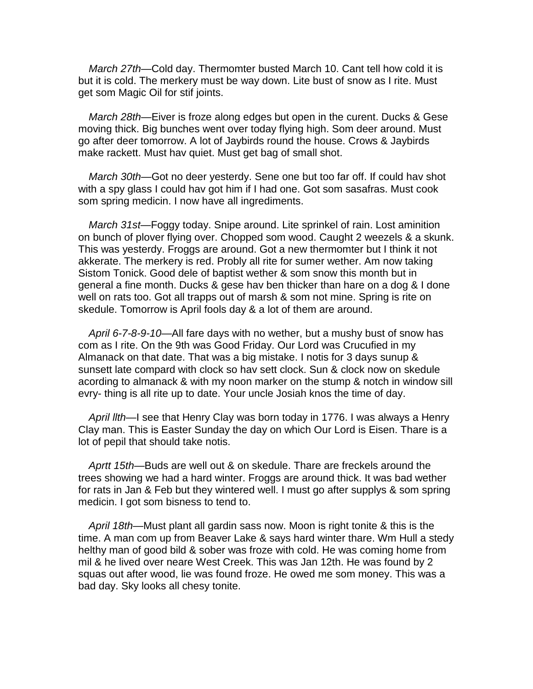*March 27th*—Cold day. Thermomter busted March 10. Cant tell how cold it is but it is cold. The merkery must be way down. Lite bust of snow as I rite. Must get som Magic Oil for stif joints.

*March 28th*—Eiver is froze along edges but open in the curent. Ducks & Gese moving thick. Big bunches went over today flying high. Som deer around. Must go after deer tomorrow. A lot of Jaybirds round the house. Crows & Jaybirds make rackett. Must hav quiet. Must get bag of small shot.

*March 30th*—Got no deer yesterdy. Sene one but too far off. If could hav shot with a spy glass I could hav got him if I had one. Got som sasafras. Must cook som spring medicin. I now have all ingrediments.

*March 31st*—Foggy today. Snipe around. Lite sprinkel of rain. Lost aminition on bunch of plover flying over. Chopped som wood. Caught 2 weezels & a skunk. This was yesterdy. Froggs are around. Got a new thermomter but I think it not akkerate. The merkery is red. Probly all rite for sumer wether. Am now taking Sistom Tonick. Good dele of baptist wether & som snow this month but in general a fine month. Ducks & gese hav ben thicker than hare on a dog & I done well on rats too. Got all trapps out of marsh & som not mine. Spring is rite on skedule. Tomorrow is April fools day & a lot of them are around.

*April 6-7-8-9-10*—All fare days with no wether, but a mushy bust of snow has com as I rite. On the 9th was Good Friday. Our Lord was Crucufied in my Almanack on that date. That was a big mistake. I notis for 3 days sunup & sunsett late compard with clock so hav sett clock. Sun & clock now on skedule acording to almanack & with my noon marker on the stump & notch in window sill evry- thing is all rite up to date. Your uncle Josiah knos the time of day.

*April llth*—I see that Henry Clay was born today in 1776. I was always a Henry Clay man. This is Easter Sunday the day on which Our Lord is Eisen. Thare is a lot of pepil that should take notis.

*Aprtt 15th*—Buds are well out & on skedule. Thare are freckels around the trees showing we had a hard winter. Froggs are around thick. It was bad wether for rats in Jan & Feb but they wintered well. I must go after supplys & som spring medicin. I got som bisness to tend to.

*April 18th*—Must plant all gardin sass now. Moon is right tonite & this is the time. A man com up from Beaver Lake & says hard winter thare. Wm Hull a stedy helthy man of good bild & sober was froze with cold. He was coming home from mil & he lived over neare West Creek. This was Jan 12th. He was found by 2 squas out after wood, lie was found froze. He owed me som money. This was a bad day. Sky looks all chesy tonite.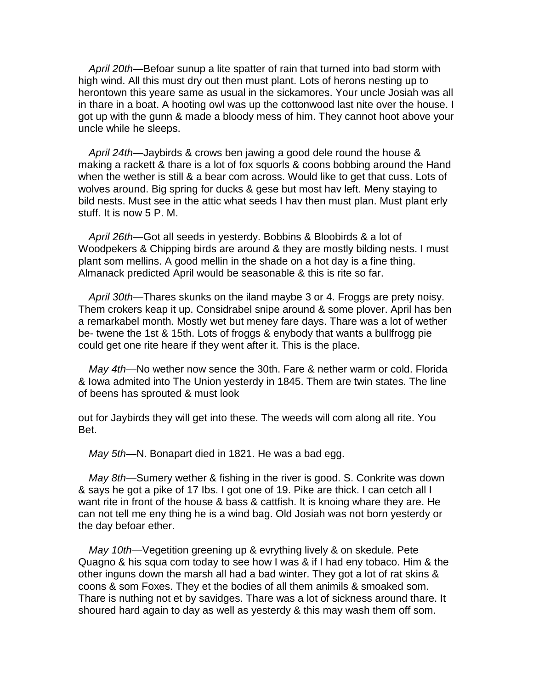*April 20th*—Befoar sunup a lite spatter of rain that turned into bad storm with high wind. All this must dry out then must plant. Lots of herons nesting up to herontown this yeare same as usual in the sickamores. Your uncle Josiah was all in thare in a boat. A hooting owl was up the cottonwood last nite over the house. I got up with the gunn & made a bloody mess of him. They cannot hoot above your uncle while he sleeps.

*April 24th*—Jaybirds & crows ben jawing a good dele round the house & making a rackett & thare is a lot of fox squorls & coons bobbing around the Hand when the wether is still & a bear com across. Would like to get that cuss. Lots of wolves around. Big spring for ducks & gese but most hav left. Meny staying to bild nests. Must see in the attic what seeds I hav then must plan. Must plant erly stuff. It is now 5 P. M.

*April 26th*—Got all seeds in yesterdy. Bobbins & Bloobirds & a lot of Woodpekers & Chipping birds are around & they are mostly bilding nests. I must plant som mellins. A good mellin in the shade on a hot day is a fine thing. Almanack predicted April would be seasonable & this is rite so far.

*April 30th*—Thares skunks on the iland maybe 3 or 4. Froggs are prety noisy. Them crokers keap it up. Considrabel snipe around & some plover. April has ben a remarkabel month. Mostly wet but meney fare days. Thare was a lot of wether be- twene the 1st & 15th. Lots of froggs & enybody that wants a bullfrogg pie could get one rite heare if they went after it. This is the place.

May 4th—No wether now sence the 30th. Fare & nether warm or cold. Florida & Iowa admited into The Union yesterdy in 1845. Them are twin states. The line of beens has sprouted & must look

out for Jaybirds they will get into these. The weeds will com along all rite. You Bet.

*May 5th*—N. Bonapart died in 1821. He was a bad egg.

*May 8th*—Sumery wether & fishing in the river is good. S. Conkrite was down & says he got a pike of 17 Ibs. I got one of 19. Pike are thick. I can cetch all I want rite in front of the house & bass & cattfish. It is knoing whare they are. He can not tell me eny thing he is a wind bag. Old Josiah was not born yesterdy or the day befoar ether.

*May 10th*—Vegetition greening up & evrything lively & on skedule. Pete Quagno & his squa com today to see how I was & if I had eny tobaco. Him & the other inguns down the marsh all had a bad winter. They got a lot of rat skins & coons & som Foxes. They et the bodies of all them animils & smoaked som. Thare is nuthing not et by savidges. Thare was a lot of sickness around thare. It shoured hard again to day as well as yesterdy & this may wash them off som.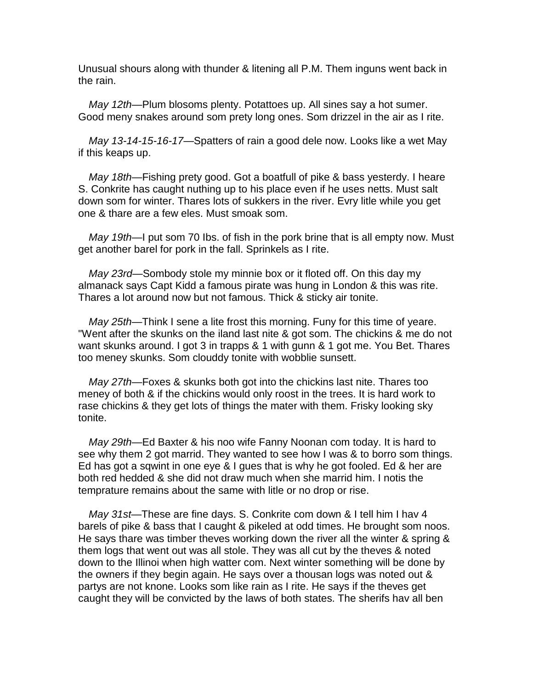Unusual shours along with thunder & litening all P.M. Them inguns went back in the rain.

*May 12th*—Plum blosoms plenty. Potattoes up. All sines say a hot sumer. Good meny snakes around som prety long ones. Som drizzel in the air as I rite.

*May 13-14-15-16-17*—Spatters of rain a good dele now. Looks like a wet May if this keaps up.

*May 18th*—Fishing prety good. Got a boatfull of pike & bass yesterdy. I heare S. Conkrite has caught nuthing up to his place even if he uses netts. Must salt down som for winter. Thares lots of sukkers in the river. Evry litle while you get one & thare are a few eles. Must smoak som.

*May 19th*—I put som 70 Ibs. of fish in the pork brine that is all empty now. Must get another barel for pork in the fall. Sprinkels as I rite.

*May 23rd*—Sombody stole my minnie box or it floted off. On this day my almanack says Capt Kidd a famous pirate was hung in London & this was rite. Thares a lot around now but not famous. Thick & sticky air tonite.

*May 25th*—Think I sene a lite frost this morning. Funy for this time of yeare. "Went after the skunks on the iland last nite & got som. The chickins & me do not want skunks around. I got 3 in trapps & 1 with gunn & 1 got me. You Bet. Thares too meney skunks. Som clouddy tonite with wobblie sunsett.

*May 27th*—Foxes & skunks both got into the chickins last nite. Thares too meney of both & if the chickins would only roost in the trees. It is hard work to rase chickins & they get lots of things the mater with them. Frisky looking sky tonite.

*May 29th*—Ed Baxter & his noo wife Fanny Noonan com today. It is hard to see why them 2 got marrid. They wanted to see how I was & to borro som things. Ed has got a sqwint in one eye & I gues that is why he got fooled. Ed & her are both red hedded & she did not draw much when she marrid him. I notis the temprature remains about the same with litle or no drop or rise.

*May 31st*—These are fine days. S. Conkrite com down & I tell him I hav 4 barels of pike & bass that I caught & pikeled at odd times. He brought som noos. He says thare was timber theves working down the river all the winter & spring & them logs that went out was all stole. They was all cut by the theves & noted down to the Illinoi when high watter com. Next winter something will be done by the owners if they begin again. He says over a thousan logs was noted out & partys are not knone. Looks som like rain as I rite. He says if the theves get caught they will be convicted by the laws of both states. The sherifs hav all ben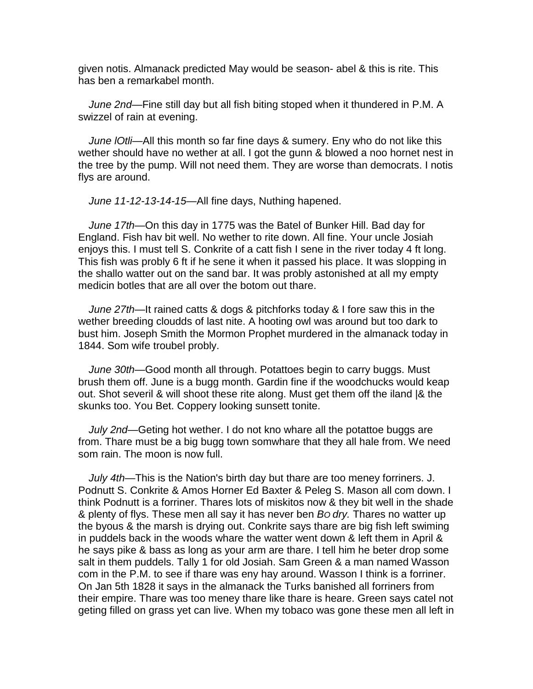given notis. Almanack predicted May would be season- abel & this is rite. This has ben a remarkabel month.

*June 2nd*—Fine still day but all fish biting stoped when it thundered in P.M. A swizzel of rain at evening.

*June lOtli*—All this month so far fine days & sumery. Eny who do not like this wether should have no wether at all. I got the gunn & blowed a noo hornet nest in the tree by the pump. Will not need them. They are worse than democrats. I notis flys are around.

*June 11-12-13-14-15—*All fine days, Nuthing hapened.

*June 17th*—On this day in 1775 was the Batel of Bunker Hill. Bad day for England. Fish hav bit well. No wether to rite down. All fine. Your uncle Josiah enjoys this. I must tell S. Conkrite of a catt fish I sene in the river today 4 ft long. This fish was probly 6 ft if he sene it when it passed his place. It was slopping in the shallo watter out on the sand bar. It was probly astonished at all my empty medicin botles that are all over the botom out thare.

*June 27th*—It rained catts & dogs & pitchforks today & I fore saw this in the wether breeding cloudds of last nite. A hooting owl was around but too dark to bust him. Joseph Smith the Mormon Prophet murdered in the almanack today in 1844. Som wife troubel probly.

*June 30th*—Good month all through. Potattoes begin to carry buggs. Must brush them off. June is a bugg month. Gardin fine if the woodchucks would keap out. Shot severil & will shoot these rite along. Must get them off the iland |& the skunks too. You Bet. Coppery looking sunsett tonite.

July 2nd—Geting hot wether. I do not kno whare all the potattoe buggs are from. Thare must be a big bugg town somwhare that they all hale from. We need som rain. The moon is now full.

*July 4th*—This is the Nation's birth day but thare are too meney forriners. J. Podnutt S. Conkrite & Amos Horner Ed Baxter & Peleg S. Mason all com down. I think Podnutt is a forriner. Thares lots of miskitos now & they bit well in the shade & plenty of flys. These men all say it has never ben *BO dry.* Thares no watter up the byous & the marsh is drying out. Conkrite says thare are big fish left swiming in puddels back in the woods whare the watter went down & left them in April & he says pike & bass as long as your arm are thare. I tell him he beter drop some salt in them puddels. Tally 1 for old Josiah. Sam Green & a man named Wasson com in the P.M. to see if thare was eny hay around. Wasson I think is a forriner. On Jan 5th 1828 it says in the almanack the Turks banished all forriners from their empire. Thare was too meney thare like thare is heare. Green says catel not geting filled on grass yet can live. When my tobaco was gone these men all left in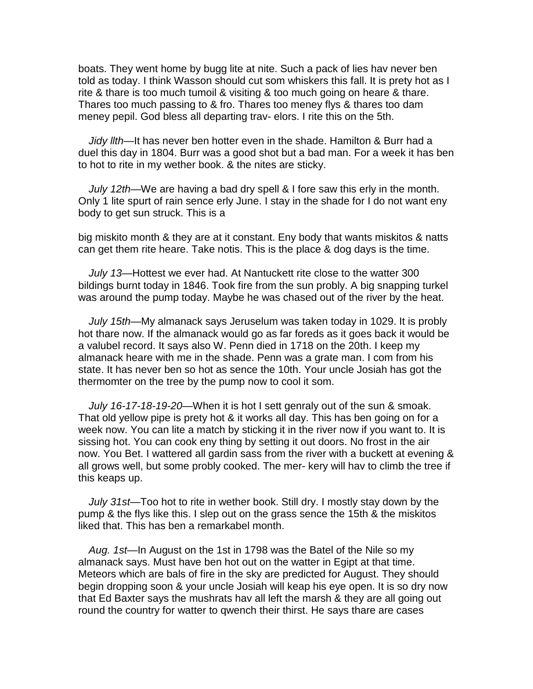boats. They went home by bugg lite at nite. Such a pack of lies hav never ben told as today. I think Wasson should cut som whiskers this fall. It is prety hot as I rite & thare is too much tumoil & visiting & too much going on heare & thare. Thares too much passing to & fro. Thares too meney flys & thares too dam meney pepil. God bless all departing trav- elors. I rite this on the 5th.

*Jidy llth*—It has never ben hotter even in the shade. Hamilton & Burr had a duel this day in 1804. Burr was a good shot but a bad man. For a week it has ben to hot to rite in my wether book. & the nites are sticky.

*July 12th*—We are having a bad dry spell & I fore saw this erly in the month. Only 1 lite spurt of rain sence erly June. I stay in the shade for I do not want eny body to get sun struck. This is a

big miskito month & they are at it constant. Eny body that wants miskitos & natts can get them rite heare. Take notis. This is the place & dog days is the time.

*July 13*—Hottest we ever had. At Nantuckett rite close to the watter 300 bildings burnt today in 1846. Took fire from the sun probly. A big snapping turkel was around the pump today. Maybe he was chased out of the river by the heat.

*July 15th*—My almanack says Jeruselum was taken today in 1029. It is probly hot thare now. If the almanack would go as far foreds as it goes back it would be a valubel record. It says also W. Penn died in 1718 on the 20th. I keep my almanack heare with me in the shade. Penn was a grate man. I com from his state. It has never ben so hot as sence the 10th. Your uncle Josiah has got the thermomter on the tree by the pump now to cool it som.

*July 16-17-18-19-20*—When it is hot I sett genraly out of the sun & smoak. That old yellow pipe is prety hot & it works all day. This has ben going on for a week now. You can lite a match by sticking it in the river now if you want to. It is sissing hot. You can cook eny thing by setting it out doors. No frost in the air now. You Bet. I wattered all gardin sass from the river with a buckett at evening & all grows well, but some probly cooked. The mer- kery will hav to climb the tree if this keaps up.

*July 31st*—Too hot to rite in wether book. Still dry. I mostly stay down by the pump & the flys like this. I slep out on the grass sence the 15th & the miskitos liked that. This has ben a remarkabel month.

*Aug. 1st*—In August on the 1st in 1798 was the Batel of the Nile so my almanack says. Must have ben hot out on the watter in Egipt at that time. Meteors which are bals of fire in the sky are predicted for August. They should begin dropping soon & your uncle Josiah will keap his eye open. It is so dry now that Ed Baxter says the mushrats hav all left the marsh & they are all going out round the country for watter to qwench their thirst. He says thare are cases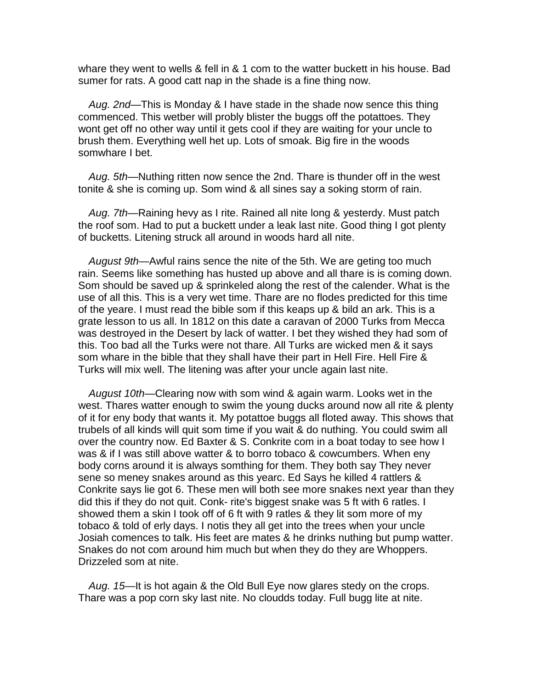whare they went to wells & fell in & 1 com to the watter buckett in his house. Bad sumer for rats. A good catt nap in the shade is a fine thing now.

*Aug. 2nd*—This is Monday & I have stade in the shade now sence this thing commenced. This wetber will probly blister the buggs off the potattoes. They wont get off no other way until it gets cool if they are waiting for your uncle to brush them. Everything well het up. Lots of smoak. Big fire in the woods somwhare I bet.

*Aug. 5th*—Nuthing ritten now sence the 2nd. Thare is thunder off in the west tonite & she is coming up. Som wind & all sines say a soking storm of rain.

*Aug. 7th*—Raining hevy as I rite. Rained all nite long & yesterdy. Must patch the roof som. Had to put a buckett under a leak last nite. Good thing I got plenty of bucketts. Litening struck all around in woods hard all nite.

*August 9th*—Awful rains sence the nite of the 5th. We are geting too much rain. Seems like something has husted up above and all thare is is coming down. Som should be saved up & sprinkeled along the rest of the calender. What is the use of all this. This is a very wet time. Thare are no flodes predicted for this time of the yeare. I must read the bible som if this keaps up & bild an ark. This is a grate lesson to us all. In 1812 on this date a caravan of 2000 Turks from Mecca was destroyed in the Desert by lack of watter. I bet they wished they had som of this. Too bad all the Turks were not thare. All Turks are wicked men & it says som whare in the bible that they shall have their part in Hell Fire. Hell Fire & Turks will mix well. The litening was after your uncle again last nite.

*August 10th*—Clearing now with som wind & again warm. Looks wet in the west. Thares watter enough to swim the young ducks around now all rite & plenty of it for eny body that wants it. My potattoe buggs all floted away. This shows that trubels of all kinds will quit som time if you wait & do nuthing. You could swim all over the country now. Ed Baxter & S. Conkrite com in a boat today to see how I was & if I was still above watter & to borro tobaco & cowcumbers. When eny body corns around it is always somthing for them. They both say They never sene so meney snakes around as this yearc. Ed Says he killed 4 rattlers & Conkrite says lie got 6. These men will both see more snakes next year than they did this if they do not quit. Conk- rite's biggest snake was 5 ft with 6 ratles. I showed them a skin I took off of 6 ft with 9 ratles & they lit som more of my tobaco & told of erly days. I notis they all get into the trees when your uncle Josiah comences to talk. His feet are mates & he drinks nuthing but pump watter. Snakes do not com around him much but when they do they are Whoppers. Drizzeled som at nite.

*Aug. 15*—It is hot again & the Old Bull Eye now glares stedy on the crops. Thare was a pop corn sky last nite. No cloudds today. Full bugg lite at nite.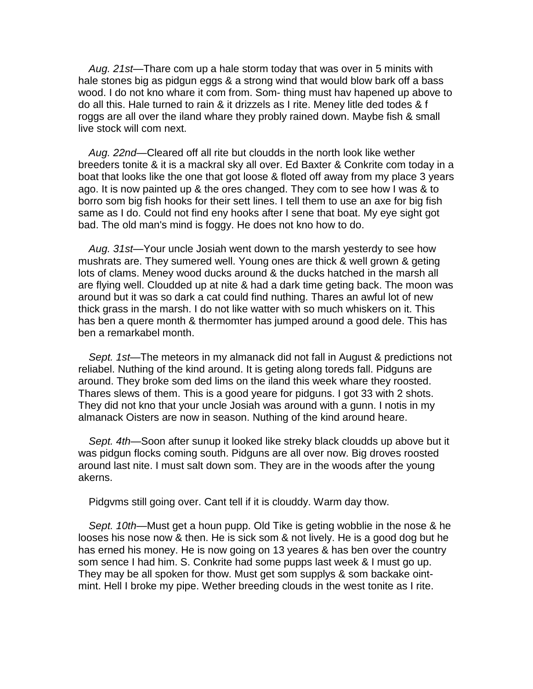*Aug. 21st*—Thare com up a hale storm today that was over in 5 minits with hale stones big as pidgun eggs & a strong wind that would blow bark off a bass wood. I do not kno whare it com from. Som- thing must hav hapened up above to do all this. Hale turned to rain & it drizzels as I rite. Meney litle ded todes & f roggs are all over the iland whare they probly rained down. Maybe fish & small live stock will com next.

*Aug. 22nd*—Cleared off all rite but cloudds in the north look like wether breeders tonite & it is a mackral sky all over. Ed Baxter & Conkrite com today in a boat that looks like the one that got loose & floted off away from my place 3 years ago. It is now painted up & the ores changed. They com to see how I was & to borro som big fish hooks for their sett lines. I tell them to use an axe for big fish same as I do. Could not find eny hooks after I sene that boat. My eye sight got bad. The old man's mind is foggy. He does not kno how to do.

Aug. 31st-Your uncle Josiah went down to the marsh yesterdy to see how mushrats are. They sumered well. Young ones are thick & well grown & geting lots of clams. Meney wood ducks around & the ducks hatched in the marsh all are flying well. Cloudded up at nite & had a dark time geting back. The moon was around but it was so dark a cat could find nuthing. Thares an awful lot of new thick grass in the marsh. I do not like watter with so much whiskers on it. This has ben a quere month & thermomter has jumped around a good dele. This has ben a remarkabel month.

*Sept. 1st*—The meteors in my almanack did not fall in August & predictions not reliabel. Nuthing of the kind around. It is geting along toreds fall. Pidguns are around. They broke som ded lims on the iland this week whare they roosted. Thares slews of them. This is a good yeare for pidguns. I got 33 with 2 shots. They did not kno that your uncle Josiah was around with a gunn. I notis in my almanack Oisters are now in season. Nuthing of the kind around heare.

*Sept. 4th*—Soon after sunup it looked like streky black cloudds up above but it was pidgun flocks coming south. Pidguns are all over now. Big droves roosted around last nite. I must salt down som. They are in the woods after the young akerns.

Pidgvms still going over. Cant tell if it is clouddy. Warm day thow.

*Sept. 10th*—Must get a houn pupp. Old Tike is geting wobblie in the nose & he looses his nose now & then. He is sick som & not lively. He is a good dog but he has erned his money. He is now going on 13 yeares & has ben over the country som sence I had him. S. Conkrite had some pupps last week & I must go up. They may be all spoken for thow. Must get som supplys & som backake ointmint. Hell I broke my pipe. Wether breeding clouds in the west tonite as I rite.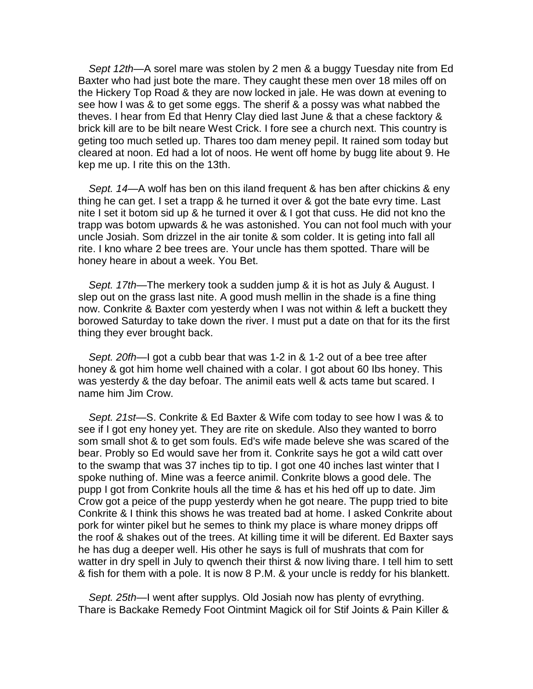*Sept 12th*—A sorel mare was stolen by 2 men & a buggy Tuesday nite from Ed Baxter who had just bote the mare. They caught these men over 18 miles off on the Hickery Top Road & they are now locked in jale. He was down at evening to see how I was & to get some eggs. The sherif & a possy was what nabbed the theves. I hear from Ed that Henry Clay died last June & that a chese facktory & brick kill are to be bilt neare West Crick. I fore see a church next. This country is geting too much setled up. Thares too dam meney pepil. It rained som today but cleared at noon. Ed had a lot of noos. He went off home by bugg lite about 9. He kep me up. I rite this on the 13th.

*Sept. 14*—A wolf has ben on this iland frequent & has ben after chickins & eny thing he can get. I set a trapp & he turned it over & got the bate evry time. Last nite I set it botom sid up & he turned it over & I got that cuss. He did not kno the trapp was botom upwards & he was astonished. You can not fool much with your uncle Josiah. Som drizzel in the air tonite & som colder. It is geting into fall all rite. I kno whare 2 bee trees are. Your uncle has them spotted. Thare will be honey heare in about a week. You Bet.

*Sept. 17th*—The merkery took a sudden jump & it is hot as July & August. I slep out on the grass last nite. A good mush mellin in the shade is a fine thing now. Conkrite & Baxter com yesterdy when I was not within & left a buckett they borowed Saturday to take down the river. I must put a date on that for its the first thing they ever brought back.

*Sept. 20fh*—I got a cubb bear that was 1-2 in & 1-2 out of a bee tree after honey & got him home well chained with a colar. I got about 60 Ibs honey. This was yesterdy & the day befoar. The animil eats well & acts tame but scared. I name him Jim Crow.

*Sept. 21st—*S. Conkrite & Ed Baxter & Wife com today to see how I was & to see if I got eny honey yet. They are rite on skedule. Also they wanted to borro som small shot & to get som fouls. Ed's wife made beleve she was scared of the bear. Probly so Ed would save her from it. Conkrite says he got a wild catt over to the swamp that was 37 inches tip to tip. I got one 40 inches last winter that I spoke nuthing of. Mine was a feerce animil. Conkrite blows a good dele. The pupp I got from Conkrite houls all the time & has et his hed off up to date. Jim Crow got a peice of the pupp yesterdy when he got neare. The pupp tried to bite Conkrite & I think this shows he was treated bad at home. I asked Conkrite about pork for winter pikel but he semes to think my place is whare money dripps off the roof & shakes out of the trees. At killing time it will be diferent. Ed Baxter says he has dug a deeper well. His other he says is full of mushrats that com for watter in dry spell in July to qwench their thirst & now living thare. I tell him to sett & fish for them with a pole. It is now 8 P.M. & your uncle is reddy for his blankett.

*Sept. 25th*—I went after supplys. Old Josiah now has plenty of evrything. Thare is Backake Remedy Foot Ointmint Magick oil for Stif Joints & Pain Killer &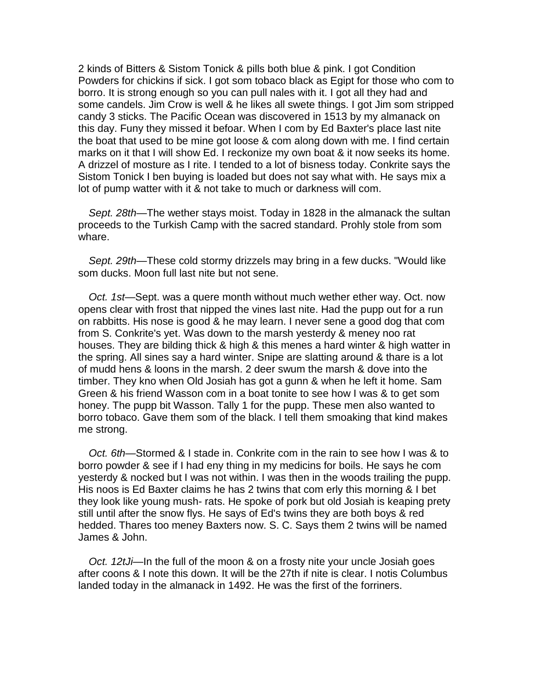2 kinds of Bitters & Sistom Tonick & pills both blue & pink. I got Condition Powders for chickins if sick. I got som tobaco black as Egipt for those who com to borro. It is strong enough so you can pull nales with it. I got all they had and some candels. Jim Crow is well & he likes all swete things. I got Jim som stripped candy 3 sticks. The Pacific Ocean was discovered in 1513 by my almanack on this day. Funy they missed it befoar. When I com by Ed Baxter's place last nite the boat that used to be mine got loose & com along down with me. I find certain marks on it that I will show Ed. I reckonize my own boat & it now seeks its home. A drizzel of mosture as I rite. I tended to a lot of bisness today. Conkrite says the Sistom Tonick I ben buying is loaded but does not say what with. He says mix a lot of pump watter with it & not take to much or darkness will com.

Sept. 28th—The wether stays moist. Today in 1828 in the almanack the sultan proceeds to the Turkish Camp with the sacred standard. Prohly stole from som whare.

*Sept. 29th*—These cold stormy drizzels may bring in a few ducks. "Would like som ducks. Moon full last nite but not sene.

*Oct. 1st*—Sept. was a quere month without much wether ether way. Oct. now opens clear with frost that nipped the vines last nite. Had the pupp out for a run on rabbitts. His nose is good & he may learn. I never sene a good dog that com from S. Conkrite's yet. Was down to the marsh yesterdy & meney noo rat houses. They are bilding thick & high & this menes a hard winter & high watter in the spring. All sines say a hard winter. Snipe are slatting around & thare is a lot of mudd hens & loons in the marsh. 2 deer swum the marsh & dove into the timber. They kno when Old Josiah has got a gunn & when he left it home. Sam Green & his friend Wasson com in a boat tonite to see how I was & to get som honey. The pupp bit Wasson. Tally 1 for the pupp. These men also wanted to borro tobaco. Gave them som of the black. I tell them smoaking that kind makes me strong.

*Oct. 6th*—Stormed & I stade in. Conkrite com in the rain to see how I was & to borro powder & see if I had eny thing in my medicins for boils. He says he com yesterdy & nocked but I was not within. I was then in the woods trailing the pupp. His noos is Ed Baxter claims he has 2 twins that com erly this morning & I bet they look like young mush- rats. He spoke of pork but old Josiah is keaping prety still until after the snow flys. He says of Ed's twins they are both boys & red hedded. Thares too meney Baxters now. S. C. Says them 2 twins will be named James & John.

*Oct. 12tJi*—In the full of the moon & on a frosty nite your uncle Josiah goes after coons & I note this down. It will be the 27th if nite is clear. I notis Columbus landed today in the almanack in 1492. He was the first of the forriners.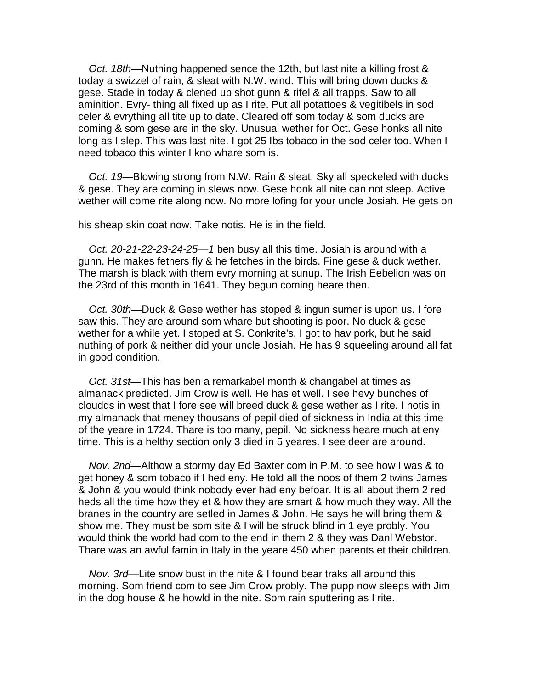*Oct. 18th*—Nuthing happened sence the 12th, but last nite a killing frost & today a swizzel of rain, & sleat with N.W. wind. This will bring down ducks & gese. Stade in today & clened up shot gunn & rifel & all trapps. Saw to all aminition. Evry- thing all fixed up as I rite. Put all potattoes & vegitibels in sod celer & evrything all tite up to date. Cleared off som today & som ducks are coming & som gese are in the sky. Unusual wether for Oct. Gese honks all nite long as I slep. This was last nite. I got 25 Ibs tobaco in the sod celer too. When I need tobaco this winter I kno whare som is.

*Oct. 19*—Blowing strong from N.W. Rain & sleat. Sky all speckeled with ducks & gese. They are coming in slews now. Gese honk all nite can not sleep. Active wether will come rite along now. No more lofing for your uncle Josiah. He gets on

his sheap skin coat now. Take notis. He is in the field.

*Oct. 20-21-22-23-24-25—1* ben busy all this time. Josiah is around with a gunn. He makes fethers fly & he fetches in the birds. Fine gese & duck wether. The marsh is black with them evry morning at sunup. The Irish Eebelion was on the 23rd of this month in 1641. They begun coming heare then.

*Oct. 30th*—Duck & Gese wether has stoped & ingun sumer is upon us. I fore saw this. They are around som whare but shooting is poor. No duck & gese wether for a while yet. I stoped at S. Conkrite's. I got to hav pork, but he said nuthing of pork & neither did your uncle Josiah. He has 9 squeeling around all fat in good condition.

*Oct. 31st*—This has ben a remarkabel month & changabel at times as almanack predicted. Jim Crow is well. He has et well. I see hevy bunches of cloudds in west that I fore see will breed duck & gese wether as I rite. I notis in my almanack that meney thousans of pepil died of sickness in India at this time of the yeare in 1724. Thare is too many, pepil. No sickness heare much at eny time. This is a helthy section only 3 died in 5 yeares. I see deer are around.

*Nov. 2nd*—Althow a stormy day Ed Baxter com in P.M. to see how I was & to get honey & som tobaco if I hed eny. He told all the noos of them 2 twins James & John & you would think nobody ever had eny befoar. It is all about them 2 red heds all the time how they et & how they are smart & how much they way. All the branes in the country are setled in James & John. He says he will bring them & show me. They must be som site & I will be struck blind in 1 eye probly. You would think the world had com to the end in them 2 & they was Danl Webstor. Thare was an awful famin in Italy in the yeare 450 when parents et their children.

*Nov. 3rd*—Lite snow bust in the nite & I found bear traks all around this morning. Som friend com to see Jim Crow probly. The pupp now sleeps with Jim in the dog house & he howld in the nite. Som rain sputtering as I rite.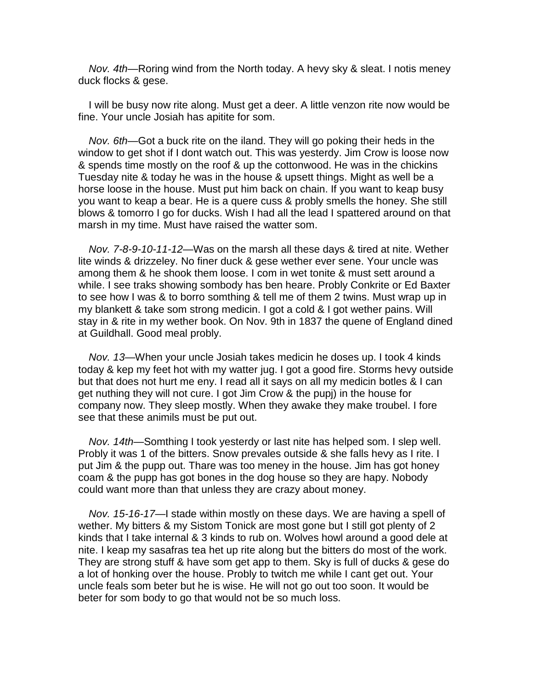*Nov. 4th*—Roring wind from the North today. A hevy sky & sleat. I notis meney duck flocks & gese.

I will be busy now rite along. Must get a deer. A little venzon rite now would be fine. Your uncle Josiah has apitite for som.

*Nov. 6th*—Got a buck rite on the iland. They will go poking their heds in the window to get shot if I dont watch out. This was yesterdy. Jim Crow is loose now & spends time mostly on the roof & up the cottonwood. He was in the chickins Tuesday nite & today he was in the house & upsett things. Might as well be a horse loose in the house. Must put him back on chain. If you want to keap busy you want to keap a bear. He is a quere cuss & probly smells the honey. She still blows & tomorro I go for ducks. Wish I had all the lead I spattered around on that marsh in my time. Must have raised the watter som.

*Nov. 7-8-9-10-11-12*—Was on the marsh all these days & tired at nite. Wether lite winds & drizzeley. No finer duck & gese wether ever sene. Your uncle was among them & he shook them loose. I com in wet tonite & must sett around a while. I see traks showing sombody has ben heare. Probly Conkrite or Ed Baxter to see how I was & to borro somthing & tell me of them 2 twins. Must wrap up in my blankett & take som strong medicin. I got a cold & I got wether pains. Will stay in & rite in my wether book. On Nov. 9th in 1837 the quene of England dined at Guildhall. Good meal probly.

Nov. 13—When your uncle Josiah takes medicin he doses up. I took 4 kinds today & kep my feet hot with my watter jug. I got a good fire. Storms hevy outside but that does not hurt me eny. I read all it says on all my medicin botles & I can get nuthing they will not cure. I got Jim Crow & the pupj) in the house for company now. They sleep mostly. When they awake they make troubel. I fore see that these animils must be put out.

*Nov. 14th*—Somthing I took yesterdy or last nite has helped som. I slep well. Probly it was 1 of the bitters. Snow prevales outside & she falls hevy as I rite. I put Jim & the pupp out. Thare was too meney in the house. Jim has got honey coam & the pupp has got bones in the dog house so they are hapy. Nobody could want more than that unless they are crazy about money.

*Nov. 15-16-17*—I stade within mostly on these days. We are having a spell of wether. My bitters & my Sistom Tonick are most gone but I still got plenty of 2 kinds that I take internal & 3 kinds to rub on. Wolves howl around a good dele at nite. I keap my sasafras tea het up rite along but the bitters do most of the work. They are strong stuff & have som get app to them. Sky is full of ducks & gese do a lot of honking over the house. Probly to twitch me while I cant get out. Your uncle feals som beter but he is wise. He will not go out too soon. It would be beter for som body to go that would not be so much loss.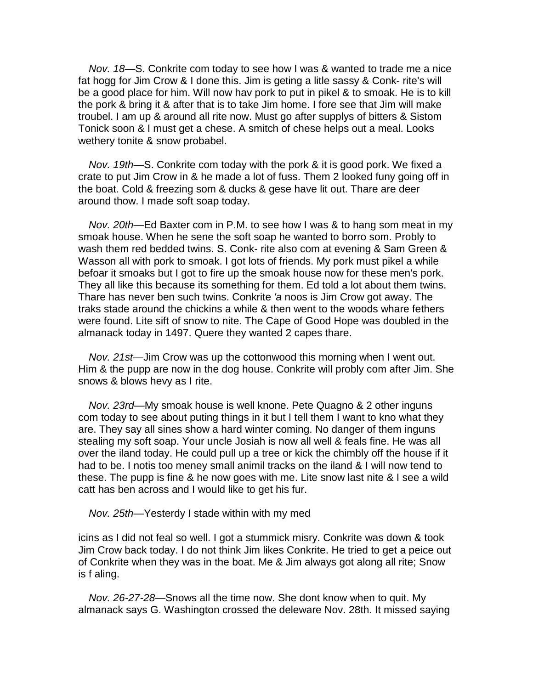*Nov. 18*—S. Conkrite com today to see how I was & wanted to trade me a nice fat hogg for Jim Crow & I done this. Jim is geting a litle sassy & Conk- rite's will be a good place for him. Will now hav pork to put in pikel & to smoak. He is to kill the pork & bring it & after that is to take Jim home. I fore see that Jim will make troubel. I am up & around all rite now. Must go after supplys of bitters & Sistom Tonick soon & I must get a chese. A smitch of chese helps out a meal. Looks wethery tonite & snow probabel.

*Nov. 19th*—S. Conkrite com today with the pork & it is good pork. We fixed a crate to put Jim Crow in & he made a lot of fuss. Them 2 looked funy going off in the boat. Cold & freezing som & ducks & gese have lit out. Thare are deer around thow. I made soft soap today.

*Nov. 20th*—Ed Baxter com in P.M. to see how I was & to hang som meat in my smoak house. When he sene the soft soap he wanted to borro som. Probly to wash them red bedded twins. S. Conk- rite also com at evening & Sam Green & Wasson all with pork to smoak. I got lots of friends. My pork must pikel a while befoar it smoaks but I got to fire up the smoak house now for these men's pork. They all like this because its something for them. Ed told a lot about them twins. Thare has never ben such twins. Conkrite *'a* noos is Jim Crow got away. The traks stade around the chickins a while & then went to the woods whare fethers were found. Lite sift of snow to nite. The Cape of Good Hope was doubled in the almanack today in 1497. Quere they wanted 2 capes thare.

*Nov. 21st*—Jim Crow was up the cottonwood this morning when I went out. Him & the pupp are now in the dog house. Conkrite will probly com after Jim. She snows & blows hevy as I rite.

*Nov. 23rd*—My smoak house is well knone. Pete Quagno & 2 other inguns com today to see about puting things in it but I tell them I want to kno what they are. They say all sines show a hard winter coming. No danger of them inguns stealing my soft soap. Your uncle Josiah is now all well & feals fine. He was all over the iland today. He could pull up a tree or kick the chimbly off the house if it had to be. I notis too meney small animil tracks on the iland & I will now tend to these. The pupp is fine & he now goes with me. Lite snow last nite & I see a wild catt has ben across and I would like to get his fur.

*Nov. 25th*—Yesterdy I stade within with my med

icins as I did not feal so well. I got a stummick misry. Conkrite was down & took Jim Crow back today. I do not think Jim likes Conkrite. He tried to get a peice out of Conkrite when they was in the boat. Me & Jim always got along all rite; Snow is f aling.

*Nov. 26-27-28*—Snows all the time now. She dont know when to quit. My almanack says G. Washington crossed the deleware Nov. 28th. It missed saying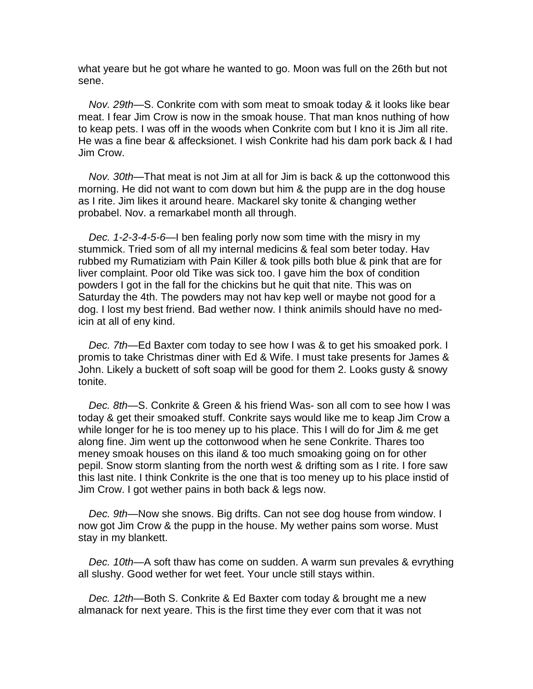what yeare but he got whare he wanted to go. Moon was full on the 26th but not sene.

*Nov. 29th*—S. Conkrite com with som meat to smoak today & it looks like bear meat. I fear Jim Crow is now in the smoak house. That man knos nuthing of how to keap pets. I was off in the woods when Conkrite com but I kno it is Jim all rite. He was a fine bear & affecksionet. I wish Conkrite had his dam pork back & I had Jim Crow.

*Nov. 30th*—That meat is not Jim at all for Jim is back & up the cottonwood this morning. He did not want to com down but him & the pupp are in the dog house as I rite. Jim likes it around heare. Mackarel sky tonite & changing wether probabel. Nov. a remarkabel month all through.

*Dec. 1-2-3-4-5-6*—I ben fealing porly now som time with the misry in my stummick. Tried som of all my internal medicins & feal som beter today. Hav rubbed my Rumatiziam with Pain Killer & took pills both blue & pink that are for liver complaint. Poor old Tike was sick too. I gave him the box of condition powders I got in the fall for the chickins but he quit that nite. This was on Saturday the 4th. The powders may not hav kep well or maybe not good for a dog. I lost my best friend. Bad wether now. I think animils should have no medicin at all of eny kind.

*Dec. 7th*—Ed Baxter com today to see how I was & to get his smoaked pork. I promis to take Christmas diner with Ed & Wife. I must take presents for James & John. Likely a buckett of soft soap will be good for them 2. Looks gusty & snowy tonite.

*Dec. 8th—*S. Conkrite & Green & his friend Was- son all com to see how I was today & get their smoaked stuff. Conkrite says would like me to keap Jim Crow a while longer for he is too meney up to his place. This I will do for Jim & me get along fine. Jim went up the cottonwood when he sene Conkrite. Thares too meney smoak houses on this iland & too much smoaking going on for other pepil. Snow storm slanting from the north west & drifting som as I rite. I fore saw this last nite. I think Conkrite is the one that is too meney up to his place instid of Jim Crow. I got wether pains in both back & legs now.

*Dec. 9th*—Now she snows. Big drifts. Can not see dog house from window. I now got Jim Crow & the pupp in the house. My wether pains som worse. Must stay in my blankett.

*Dec. 10th*—A soft thaw has come on sudden. A warm sun prevales & evrything all slushy. Good wether for wet feet. Your uncle still stays within.

*Dec. 12th*—Both S. Conkrite & Ed Baxter com today & brought me a new almanack for next yeare. This is the first time they ever com that it was not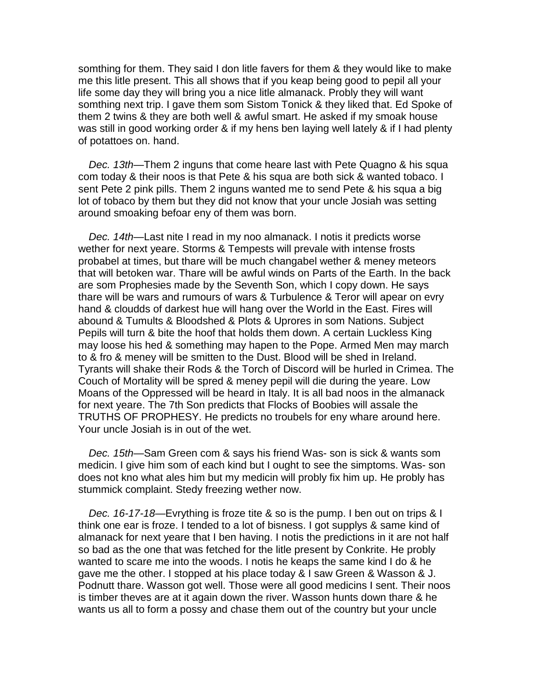somthing for them. They said I don litle favers for them & they would like to make me this litle present. This all shows that if you keap being good to pepil all your life some day they will bring you a nice litle almanack. Probly they will want somthing next trip. I gave them som Sistom Tonick & they liked that. Ed Spoke of them 2 twins & they are both well & awful smart. He asked if my smoak house was still in good working order & if my hens ben laying well lately & if I had plenty of potattoes on. hand.

*Dec. 13th*—Them 2 inguns that come heare last with Pete Quagno & his squa com today & their noos is that Pete & his squa are both sick & wanted tobaco. I sent Pete 2 pink pills. Them 2 inguns wanted me to send Pete & his squa a big lot of tobaco by them but they did not know that your uncle Josiah was setting around smoaking befoar eny of them was born.

*Dec. 14th*—Last nite I read in my noo almanack. I notis it predicts worse wether for next yeare. Storms & Tempests will prevale with intense frosts probabel at times, but thare will be much changabel wether & meney meteors that will betoken war. Thare will be awful winds on Parts of the Earth. In the back are som Prophesies made by the Seventh Son, which I copy down. He says thare will be wars and rumours of wars & Turbulence & Teror will apear on evry hand & cloudds of darkest hue will hang over the World in the East. Fires will abound & Tumults & Bloodshed & Plots & Uprores in som Nations. Subject Pepils will turn & bite the hoof that holds them down. A certain Luckless King may loose his hed & something may hapen to the Pope. Armed Men may march to & fro & meney will be smitten to the Dust. Blood will be shed in Ireland. Tyrants will shake their Rods & the Torch of Discord will be hurled in Crimea. The Couch of Mortality will be spred & meney pepil will die during the yeare. Low Moans of the Oppressed will be heard in Italy. It is all bad noos in the almanack for next yeare. The 7th Son predicts that Flocks of Boobies will assale the TRUTHS OF PROPHESY. He predicts no troubels for eny whare around here. Your uncle Josiah is in out of the wet.

*Dec. 15th*—Sam Green com & says his friend Was- son is sick & wants som medicin. I give him som of each kind but I ought to see the simptoms. Was- son does not kno what ales him but my medicin will probly fix him up. He probly has stummick complaint. Stedy freezing wether now.

*Dec. 16-17-18—*Evrything is froze tite & so is the pump. I ben out on trips & I think one ear is froze. I tended to a lot of bisness. I got supplys & same kind of almanack for next yeare that I ben having. I notis the predictions in it are not half so bad as the one that was fetched for the litle present by Conkrite. He probly wanted to scare me into the woods. I notis he keaps the same kind I do & he gave me the other. I stopped at his place today & I saw Green & Wasson & J. Podnutt thare. Wasson got well. Those were all good medicins I sent. Their noos is timber theves are at it again down the river. Wasson hunts down thare & he wants us all to form a possy and chase them out of the country but your uncle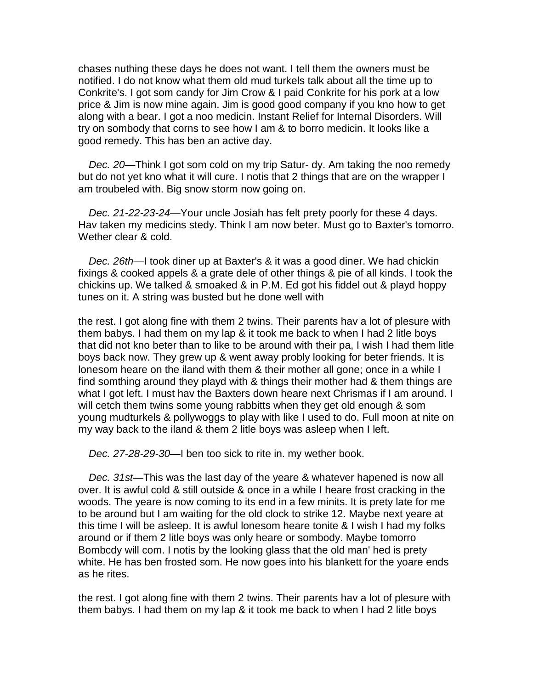chases nuthing these days he does not want. I tell them the owners must be notified. I do not know what them old mud turkels talk about all the time up to Conkrite's. I got som candy for Jim Crow & I paid Conkrite for his pork at a low price & Jim is now mine again. Jim is good good company if you kno how to get along with a bear. I got a noo medicin. Instant Relief for Internal Disorders. Will try on sombody that corns to see how I am & to borro medicin. It looks like a good remedy. This has ben an active day.

*Dec. 20*—Think I got som cold on my trip Satur- dy. Am taking the noo remedy but do not yet kno what it will cure. I notis that 2 things that are on the wrapper I am troubeled with. Big snow storm now going on.

*Dec. 21-22-23-24*—Your uncle Josiah has felt prety poorly for these 4 days. Hav taken my medicins stedy. Think I am now beter. Must go to Baxter's tomorro. Wether clear & cold.

*Dec. 26th*—I took diner up at Baxter's & it was a good diner. We had chickin fixings & cooked appels & a grate dele of other things & pie of all kinds. I took the chickins up. We talked & smoaked & in P.M. Ed got his fiddel out & playd hoppy tunes on it. A string was busted but he done well with

the rest. I got along fine with them 2 twins. Their parents hav a lot of plesure with them babys. I had them on my lap & it took me back to when I had 2 litle boys that did not kno beter than to like to be around with their pa, I wish I had them litle boys back now. They grew up & went away probly looking for beter friends. It is lonesom heare on the iland with them & their mother all gone; once in a while I find somthing around they playd with & things their mother had & them things are what I got left. I must hav the Baxters down heare next Chrismas if I am around. I will cetch them twins some young rabbitts when they get old enough & som young mudturkels & pollywoggs to play with like I used to do. Full moon at nite on my way back to the iland & them 2 litle boys was asleep when I left.

*Dec. 27-28-29-30*—I ben too sick to rite in. my wether book.

*Dec. 31st*—This was the last day of the yeare & whatever hapened is now all over. It is awful cold & still outside & once in a while I heare frost cracking in the woods. The yeare is now coming to its end in a few minits. It is prety late for me to be around but I am waiting for the old clock to strike 12. Maybe next yeare at this time I will be asleep. It is awful lonesom heare tonite & I wish I had my folks around or if them 2 litle boys was only heare or sombody. Maybe tomorro Bombcdy will com. I notis by the looking glass that the old man' hed is prety white. He has ben frosted som. He now goes into his blankett for the yoare ends as he rites.

the rest. I got along fine with them 2 twins. Their parents hav a lot of plesure with them babys. I had them on my lap & it took me back to when I had 2 litle boys